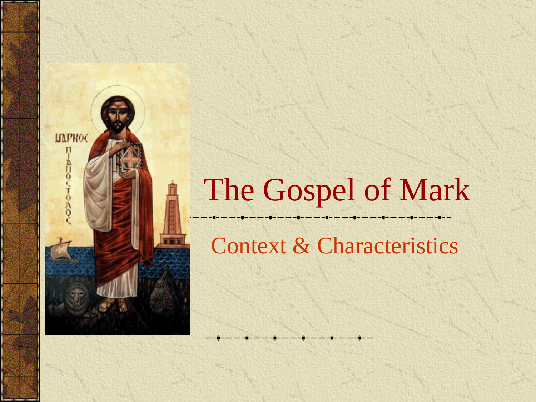## The Gospel of Mark

Context & Characteristics

**ЦАРКОС** 

ņ

**AUG/TONO**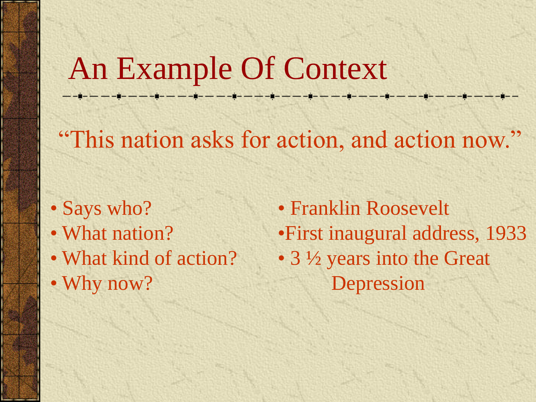### An Example Of Context

"This nation asks for action, and action now."

- Says who?
- What nation?
- What kind of action?
- Why now?

• Franklin Roosevelt •First inaugural address, 1933 • 3  $\frac{1}{2}$  years into the Great Depression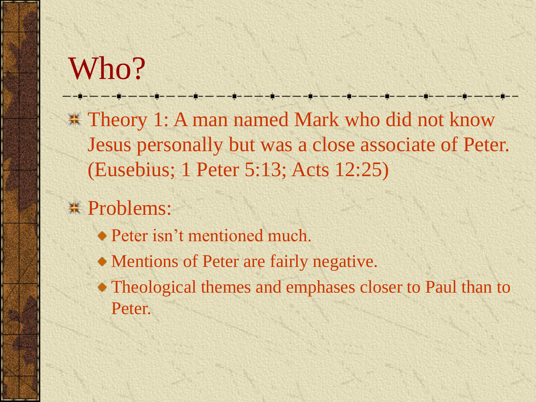## Who?

**\* Theory 1: A man named Mark who did not know** Jesus personally but was a close associate of Peter. (Eusebius; 1 Peter 5:13; Acts 12:25)

- \* Problems:
	- **◆ Peter isn't mentioned much.**
	- Mentions of Peter are fairly negative.
	- Theological themes and emphases closer to Paul than to Peter.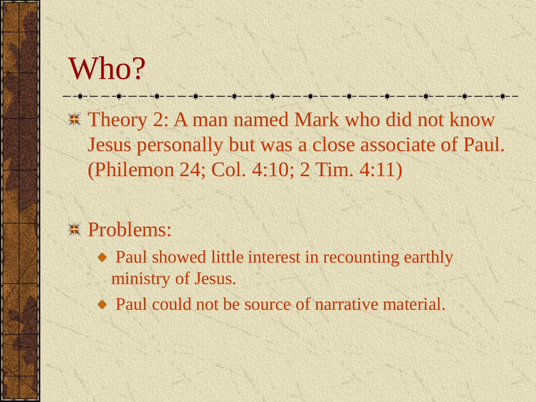### Who?

**\* Theory 2: A man named Mark who did not know** Jesus personally but was a close associate of Paul. (Philemon 24; Col. 4:10; 2 Tim. 4:11)

<u> 1989 - Frans Amerikaanse konstantinoplant</u>

#### **\*** Problems:

• Paul showed little interest in recounting earthly ministry of Jesus.

• Paul could not be source of narrative material.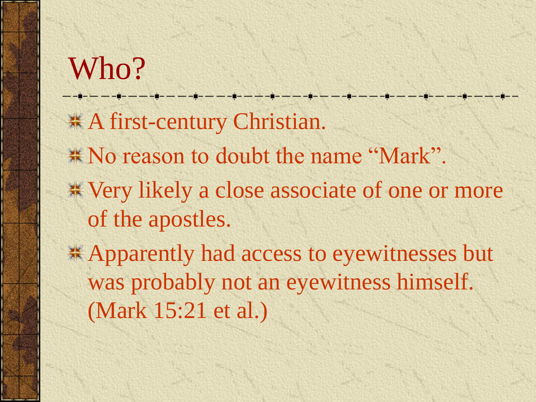## Who? **# A first-century Christian.** \* No reason to doubt the name "Mark". Very likely a close associate of one or more of the apostles. Apparently had access to eyewitnesses but was probably not an eyewitness himself. (Mark 15:21 et al.)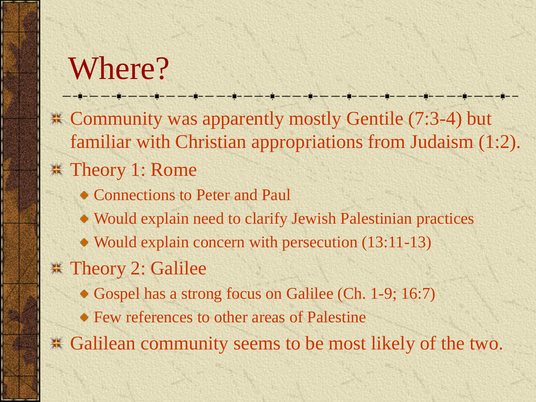## Where?

Community was apparently mostly Gentile (7:3-4) but familiar with Christian appropriations from Judaism (1:2). \* Theory 1: Rome

- Connections to Peter and Paul
- Would explain need to clarify Jewish Palestinian practices
- Would explain concern with persecution (13:11-13)
- **\*\*** Theory 2: Galilee
	- Gospel has a strong focus on Galilee (Ch. 1-9; 16:7)
	- Few references to other areas of Palestine

Galilean community seems to be most likely of the two.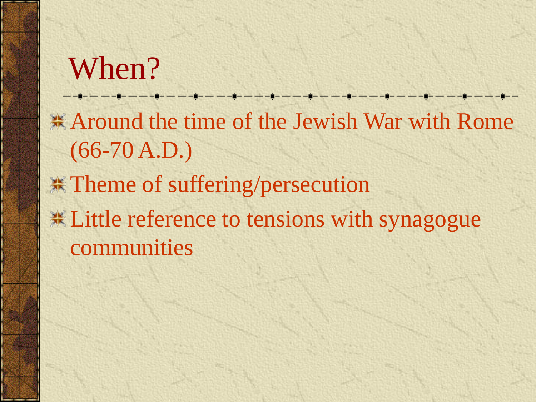# When? **Around the time of the Jewish War with Rome**  $(66-70 A.D.)$ **\*\*** Theme of suffering/persecution **Example 12** Example 10 tensions with synagogue communities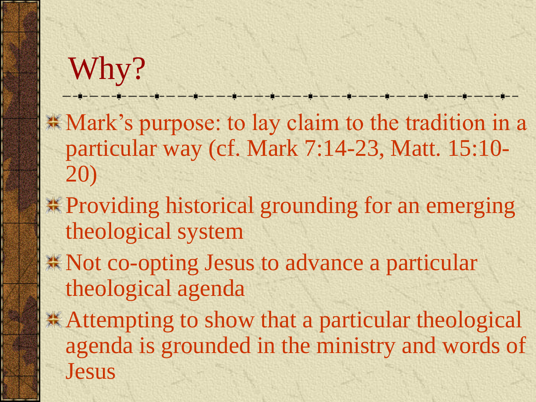## Why?

**K** Mark's purpose: to lay claim to the tradition in a particular way (cf. Mark 7:14-23, Matt. 15:10- 20)

- **\*** Providing historical grounding for an emerging theological system
- Not co-opting Jesus to advance a particular theological agenda
- **\*\*** Attempting to show that a particular theological agenda is grounded in the ministry and words of Jesus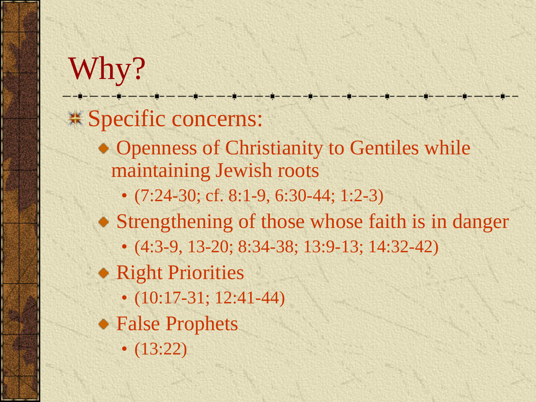Why? **\*\*** Specific concerns: • Openness of Christianity to Gentiles while maintaining Jewish roots •  $(7:24-30; \text{cf. }8:1-9, 6:30-44; 1:2-3)$ • Strengthening of those whose faith is in danger • (4:3-9, 13-20; 8:34-38; 13:9-13; 14:32-42) • Right Priorities •  $(10:17-31; 12:41-44)$ False Prophets  $\bullet$  (13:22)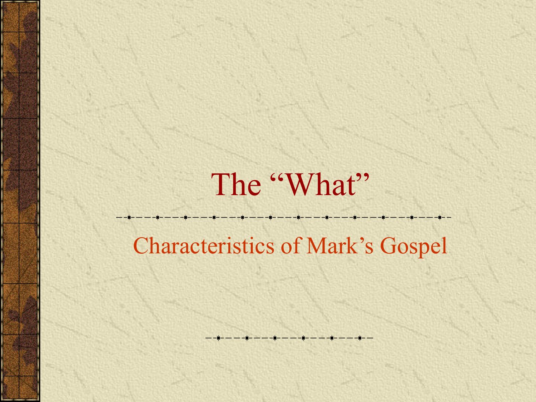## The "What"

#### Characteristics of Mark's Gospel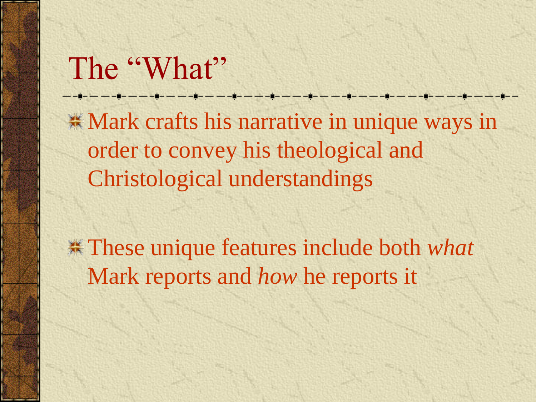#### The "What"

**K** Mark crafts his narrative in unique ways in order to convey his theological and Christological understandings

These unique features include both *what* Mark reports and *how* he reports it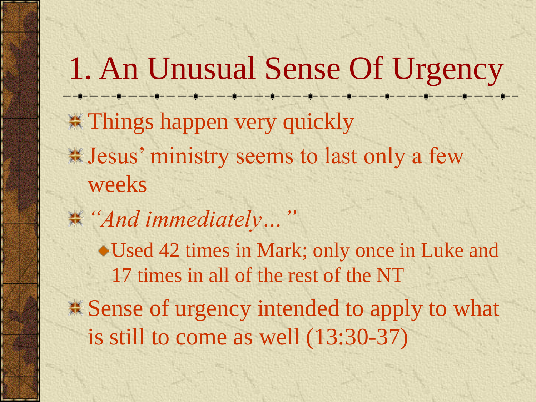1. An Unusual Sense Of Urgency --------------**\*\* Things happen very quickly** Jesus' ministry seems to last only a few weeks *"And immediately…"* Used 42 times in Mark; only once in Luke and 17 times in all of the rest of the NT  $\frac{1}{2}$  **Sense of urgency intended to apply to what** is still to come as well (13:30-37)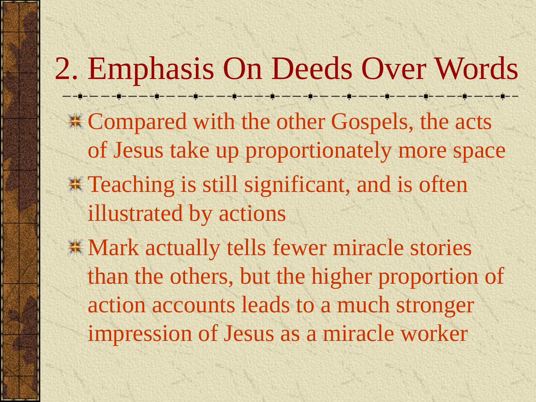2. Emphasis On Deeds Over Words **EXAMPE Compared with the other Gospels, the acts** of Jesus take up proportionately more space **Example 18 Figure 3.1 Still significant, and is often** illustrated by actions **K** Mark actually tells fewer miracle stories than the others, but the higher proportion of action accounts leads to a much stronger impression of Jesus as a miracle worker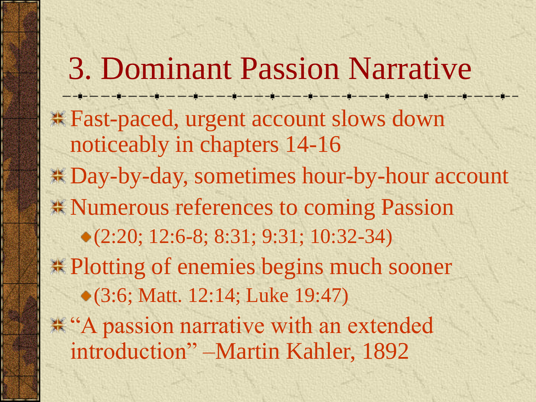3. Dominant Passion Narrative Fast-paced, urgent account slows down noticeably in chapters 14-16 Day-by-day, sometimes hour-by-hour account **\*\* Numerous references to coming Passion** (2:20; 12:6-8; 8:31; 9:31; 10:32-34) **\*\* Plotting of enemies begins much sooner** (3:6; Matt. 12:14; Luke 19:47) \* "A passion narrative with an extended" introduction" –Martin Kahler, 1892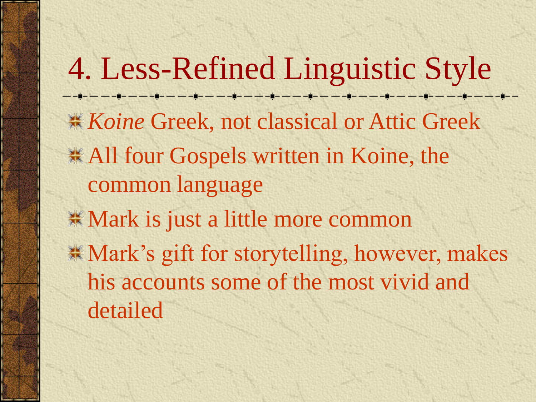4. Less-Refined Linguistic Style **Koine Greek, not classical or Attic Greek \*All four Gospels written in Koine, the** common language **\*\* Mark is just a little more common \* Mark's gift for storytelling, however, makes** his accounts some of the most vivid and detailed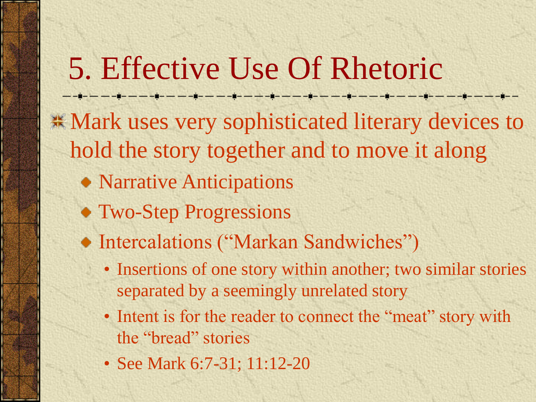## 5. Effective Use Of Rhetoric

**\*\* Mark uses very sophisticated literary devices to** hold the story together and to move it along

- Narrative Anticipations
- Two-Step Progressions
- Intercalations ("Markan Sandwiches")
	- Insertions of one story within another; two similar stories separated by a seemingly unrelated story
	- Intent is for the reader to connect the "meat" story with the "bread" stories
	- See Mark 6:7-31; 11:12-20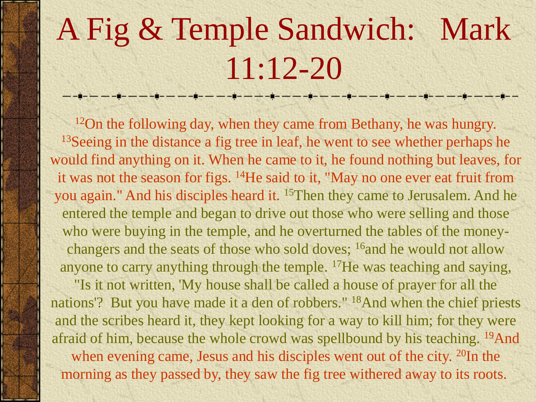# A Fig & Temple Sandwich: Mark 11:12-20

<sup>12</sup>On the following day, when they came from Bethany, he was hungry. <sup>13</sup>Seeing in the distance a fig tree in leaf, he went to see whether perhaps he would find anything on it. When he came to it, he found nothing but leaves, for it was not the season for figs. <sup>14</sup>He said to it, "May no one ever eat fruit from you again." And his disciples heard it. <sup>15</sup>Then they came to Jerusalem. And he entered the temple and began to drive out those who were selling and those who were buying in the temple, and he overturned the tables of the moneychangers and the seats of those who sold doves; <sup>16</sup> and he would not allow anyone to carry anything through the temple. <sup>17</sup>He was teaching and saying,

"Is it not written, 'My house shall be called a house of prayer for all the nations'? But you have made it a den of robbers." <sup>18</sup>And when the chief priests and the scribes heard it, they kept looking for a way to kill him; for they were afraid of him, because the whole crowd was spellbound by his teaching. <sup>19</sup>And when evening came, Jesus and his disciples went out of the city. <sup>20</sup>In the morning as they passed by, they saw the fig tree withered away to its roots.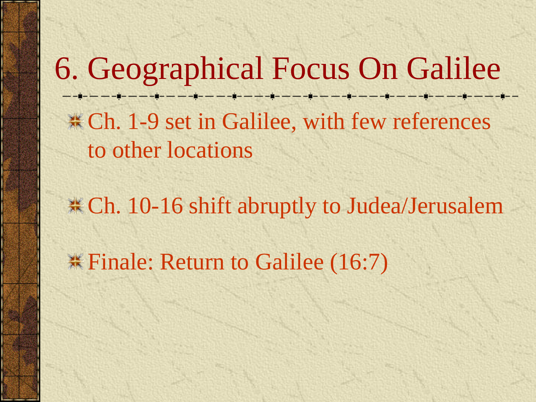6. Geographical Focus On Galilee . -- -- - - - - - - - - -**Example 1-9 set in Galilee, with few references** to other locations

**EXACUTE:** Ch. 10-16 shift abruptly to Judea/Jerusalem

**Example:** Return to Galilee (16:7)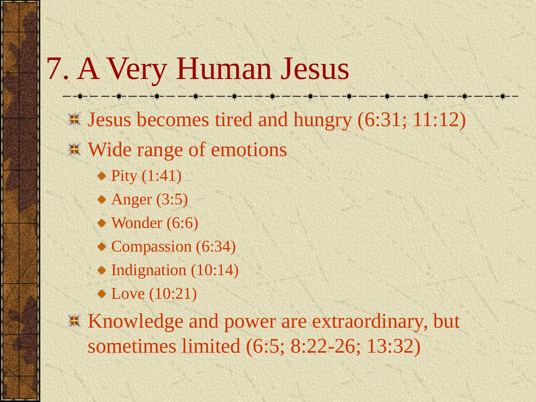7. A Very Human Jesus Jesus becomes tired and hungry (6:31; 11:12) Wide range of emotions  $\bullet$  Pity  $(1:41)$  $*$  Anger (3:5) • Wonder (6:6) Compassion (6:34)  $\bullet$  Indignation (10:14) • Love (10:21) **K** Knowledge and power are extraordinary, but sometimes limited (6:5; 8:22-26; 13:32)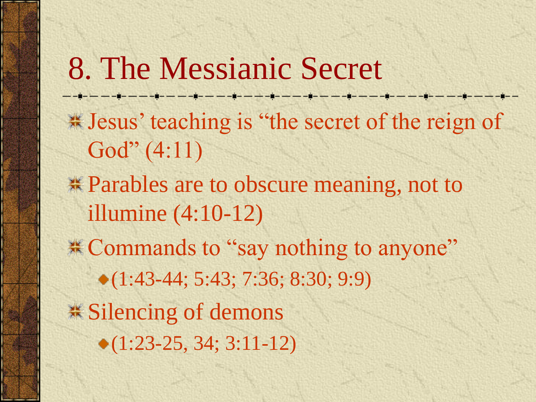8. The Messianic Secret Jesus' teaching is "the secret of the reign of God" (4:11) Parables are to obscure meaning, not to illumine (4:10-12) \*\* Commands to "say nothing to anyone" (1:43-44; 5:43; 7:36; 8:30; 9:9) **.\*** Silencing of demons  $\bullet$  (1:23-25, 34; 3:11-12)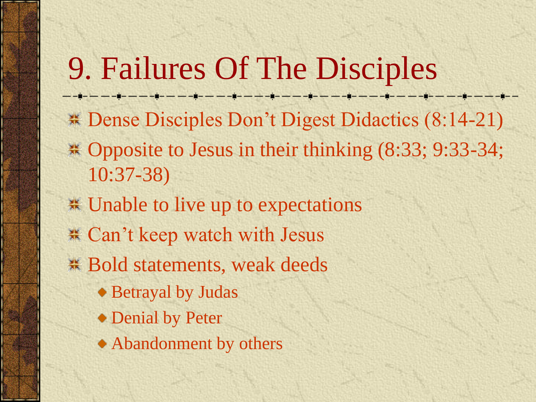9. Failures Of The Disciples ————————————— **Example 3.4 Dense Disciples Don't Digest Didactics (8:14-21)** \* Opposite to Jesus in their thinking (8:33; 9:33-34; 10:37-38) Unable to live up to expectations Can't keep watch with Jesus Bold statements, weak deeds Betrayal by Judas Denial by Peter Abandonment by others